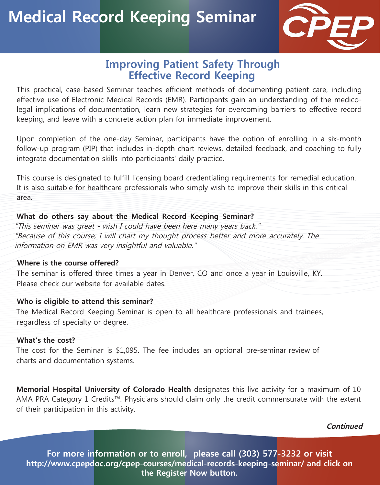

## **Improving Patient Safety Through Effective Record Keeping**

This practical, case-based Seminar teaches efficient methods of documenting patient care, including effective use of Electronic Medical Records (EMR). Participants gain an understanding of the medicolegal implications of documentation, learn new strategies for overcoming barriers to effective record keeping, and leave with a concrete action plan for immediate improvement.

Upon completion of the one-day Seminar, participants have the option of enrolling in a six-month follow-up program (PIP) that includes in-depth chart reviews, detailed feedback, and coaching to fully integrate documentation skills into participants' daily practice.

This course is designated to fulfill licensing board credentialing requirements for remedial education. It is also suitable for healthcare professionals who simply wish to improve their skills in this critical area.

#### **What do others say about the Medical Record Keeping Seminar?**

"This seminar was great - wish I could have been here many years back." "Because of this course, I will chart my thought process better and more accurately. The information on EMR was very insightful and valuable."

### **Where is the course offered?**

The seminar is offered three times a year in Denver, CO and once a year in Louisville, KY. Please check our website for available dates

#### **Who is eligible to attend this seminar?**

The Medical Record Keeping Seminar is open to all healthcare professionals and trainees, regardless of specialty or degree.

#### **What's the cost?**

The cost for the Seminar is \$1,095. The fee includes an optional pre-seminar review of charts and documentation systems.

**Memorial Hospital University of Colorado Health** designates this live activity for a maximum of 10 AMA PRA Category 1 Credits™. Physicians should claim only the credit commensurate with the extent of their participation in this activity.

**Continued**

**For more information or to enroll, please call (303) 577-3232 or visit http://www.cpepdoc.org/cpep-courses/medical-records-keeping-seminar/ and click on the Register Now button.**